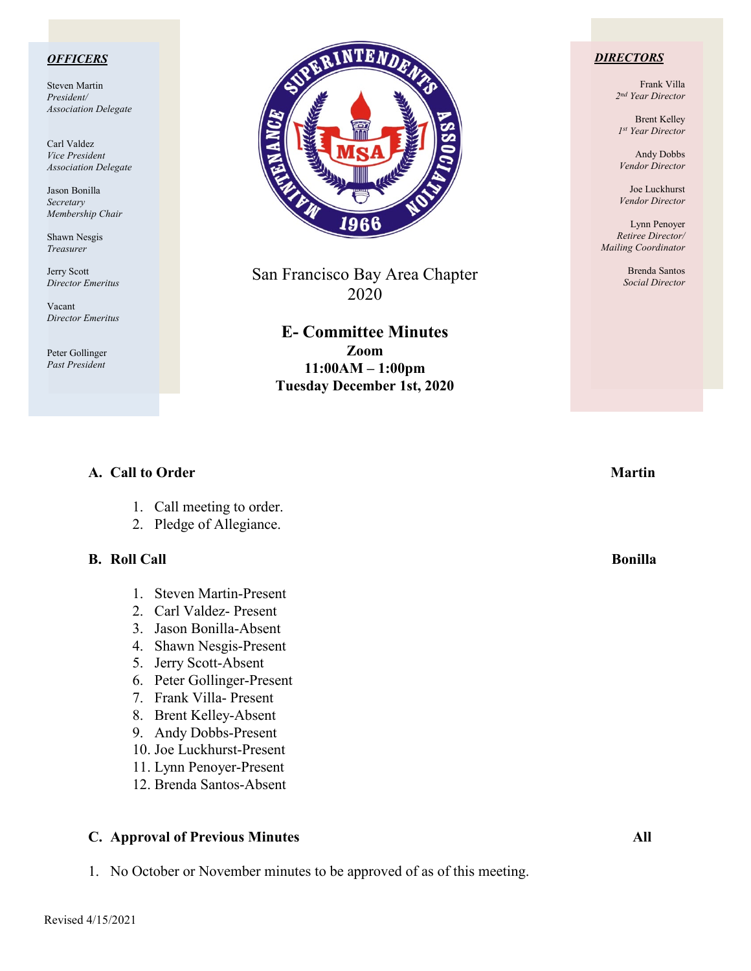#### *OFFICERS*

Steven Martin *President/ Association Delegate*

Carl Valdez *Vice President Association Delegate*

Jason Bonilla *Secretary Membership Chair*

Shawn Nesgis *Treasurer*

Jerry Scott *Director Emeritus*

Vacant *Director Emeritus*

Peter Gollinger *Past President*



San Francisco Bay Area Chapter 2020

> **E- Committee Minutes Zoom 11:00AM – 1:00pm Tuesday December 1st, 2020**

#### *DIRECTORS*

Frank Villa *2nd Year Director*

Brent Kelley *1st Year Director*

Andy Dobbs *Vendor Director*

Joe Luckhurst *Vendor Director*

Lynn Penoyer *Retiree Director/ Mailing Coordinator*

> Brenda Santos *Social Director*

#### **A.** Call to Order Martin **Martin**

- 1. Call meeting to order.
- 2. Pledge of Allegiance.

#### **B.** Roll Call Bonilla **Bonical** Bonilla **Bonical Bonilla**

- 1. Steven Martin-Present
- 2. Carl Valdez- Present
- 3. Jason Bonilla-Absent
- 4. Shawn Nesgis-Present
- 5. Jerry Scott-Absent
- 6. Peter Gollinger-Present
- 7. Frank Villa- Present
- 8. Brent Kelley-Absent
- 9. Andy Dobbs-Present
- 10. Joe Luckhurst-Present
- 11. Lynn Penoyer-Present
- 12. Brenda Santos-Absent

#### **C. Approval of Previous Minutes All**

1. No October or November minutes to be approved of as of this meeting.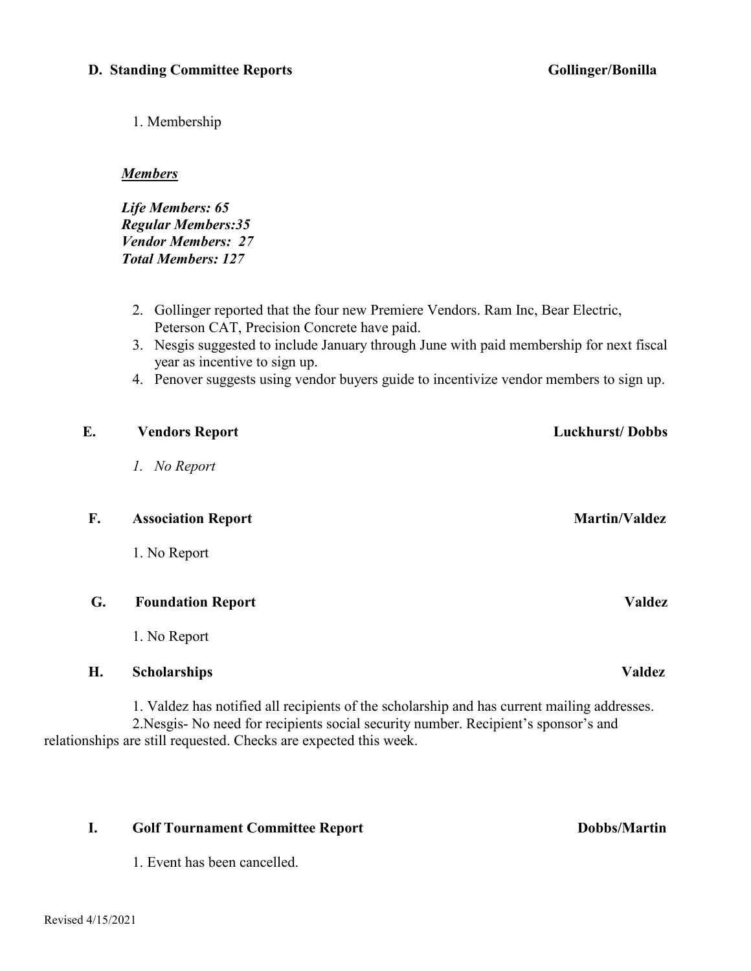1. Membership

#### *Members*

*Life Members: 65 Regular Members:35 Vendor Members: 27 Total Members: 127*

- 2. Gollinger reported that the four new Premiere Vendors. Ram Inc, Bear Electric, Peterson CAT, Precision Concrete have paid.
- 3. Nesgis suggested to include January through June with paid membership for next fiscal year as incentive to sign up.
- 4. Penover suggests using vendor buyers guide to incentivize vendor members to sign up.

| Е. | <b>Vendors Report</b>                                                                                                                                                                                                                                   | <b>Luckhurst/Dobbs</b> |
|----|---------------------------------------------------------------------------------------------------------------------------------------------------------------------------------------------------------------------------------------------------------|------------------------|
|    | 1. No Report                                                                                                                                                                                                                                            |                        |
| F. | <b>Association Report</b>                                                                                                                                                                                                                               | <b>Martin/Valdez</b>   |
|    | 1. No Report                                                                                                                                                                                                                                            |                        |
| G. | <b>Foundation Report</b>                                                                                                                                                                                                                                | <b>Valdez</b>          |
|    | 1. No Report                                                                                                                                                                                                                                            |                        |
| Н. | <b>Scholarships</b>                                                                                                                                                                                                                                     | <b>Valdez</b>          |
|    | 1. Valdez has notified all recipients of the scholarship and has current mailing addresses.<br>2. Nesgis- No need for recipients social security number. Recipient's sponsor's and<br>relationships are still requested. Checks are expected this week. |                        |

#### **I.** Golf Tournament Committee Report Dobbs/Martin

1. Event has been cancelled.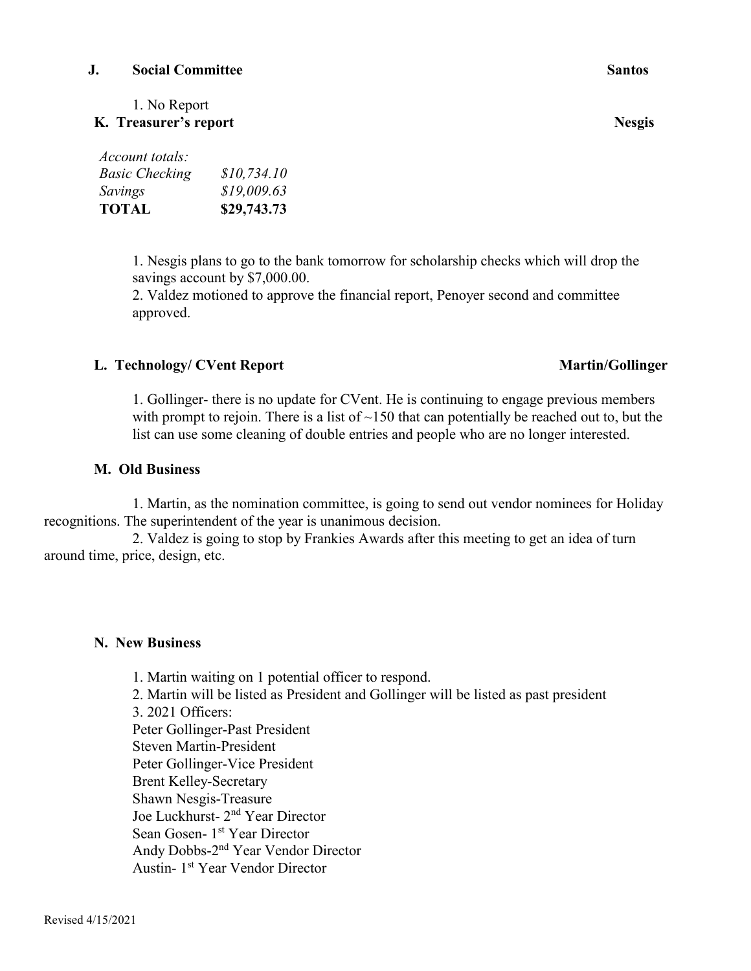Revised 4/15/2021

#### **J. Social Committee Santos**

1. No Report

*Basic Checking \$10,734.10 Savings \$19,009.63* **TOTAL \$29,743.73**

**K. Treasurer's report Nesgis** 

*Account totals:*

# 1. Nesgis plans to go to the bank tomorrow for scholarship checks which will drop the savings account by \$7,000.00.

2. Valdez motioned to approve the financial report, Penoyer second and committee approved.

## L. Technology/ CVent Report **Martin/Gollinger**

1. Gollinger- there is no update for CVent. He is continuing to engage previous members with prompt to rejoin. There is a list of  $\sim$ 150 that can potentially be reached out to, but the list can use some cleaning of double entries and people who are no longer interested.

## **M. Old Business**

1. Martin, as the nomination committee, is going to send out vendor nominees for Holiday recognitions. The superintendent of the year is unanimous decision.

2. Valdez is going to stop by Frankies Awards after this meeting to get an idea of turn around time, price, design, etc.

## **N. New Business**

1. Martin waiting on 1 potential officer to respond. 2. Martin will be listed as President and Gollinger will be listed as past president 3. 2021 Officers: Peter Gollinger-Past President Steven Martin-President Peter Gollinger-Vice President Brent Kelley-Secretary Shawn Nesgis-Treasure Joe Luckhurst- 2<sup>nd</sup> Year Director Sean Gosen- 1<sup>st</sup> Year Director Andy Dobbs-2nd Year Vendor Director Austin- 1st Year Vendor Director